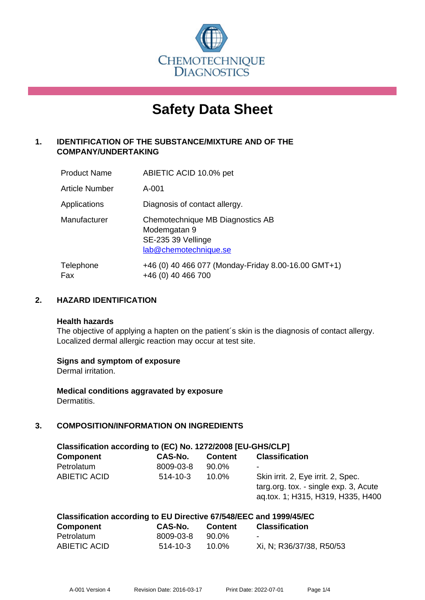

# **Safety Data Sheet**

# **1. IDENTIFICATION OF THE SUBSTANCE/MIXTURE AND OF THE COMPANY/UNDERTAKING**

| <b>Product Name</b>   | ABIETIC ACID 10.0% pet                                                                          |
|-----------------------|-------------------------------------------------------------------------------------------------|
| <b>Article Number</b> | A-001                                                                                           |
| Applications          | Diagnosis of contact allergy.                                                                   |
| Manufacturer          | Chemotechnique MB Diagnostics AB<br>Modemgatan 9<br>SE-235 39 Vellinge<br>lab@chemotechnique.se |
| Telephone<br>Fax      | +46 (0) 40 466 077 (Monday-Friday 8.00-16.00 GMT+1)<br>+46 (0) 40 466 700                       |

## **2. HAZARD IDENTIFICATION**

#### **Health hazards**

The objective of applying a hapten on the patient's skin is the diagnosis of contact allergy. Localized dermal allergic reaction may occur at test site.

#### **Signs and symptom of exposure**

Dermal irritation.

**Medical conditions aggravated by exposure** Dermatitis.

# **3. COMPOSITION/INFORMATION ON INGREDIENTS**

| Classification according to (EC) No. 1272/2008 [EU-GHS/CLP] |                |                |                                                                                                                  |  |  |
|-------------------------------------------------------------|----------------|----------------|------------------------------------------------------------------------------------------------------------------|--|--|
| <b>Component</b>                                            | CAS-No.        | <b>Content</b> | <b>Classification</b>                                                                                            |  |  |
| Petrolatum                                                  | 8009-03-8      | 90.0%          | ۰                                                                                                                |  |  |
| <b>ABIETIC ACID</b>                                         | $514 - 10 - 3$ | $10.0\%$       | Skin irrit. 2, Eye irrit. 2, Spec.<br>targ.org. tox. - single exp. 3, Acute<br>ag.tox. 1; H315, H319, H335, H400 |  |  |

| Classification according to EU Directive 67/548/EEC and 1999/45/EC |           |                |                          |  |
|--------------------------------------------------------------------|-----------|----------------|--------------------------|--|
| <b>Component</b>                                                   | CAS-No.   | <b>Content</b> | <b>Classification</b>    |  |
| Petrolatum                                                         | 8009-03-8 | 90.0%          | $\overline{\phantom{a}}$ |  |
| ABIETIC ACID                                                       | 514-10-3  | $10.0\%$       | Xi, N; R36/37/38, R50/53 |  |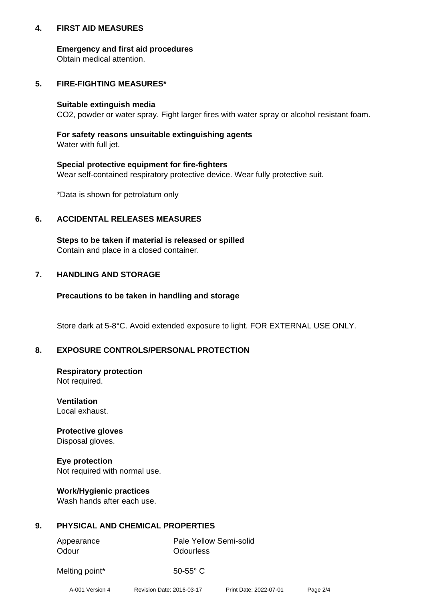#### **4. FIRST AID MEASURES**

#### **Emergency and first aid procedures**

Obtain medical attention.

# **5. FIRE-FIGHTING MEASURES\***

#### **Suitable extinguish media**

CO2, powder or water spray. Fight larger fires with water spray or alcohol resistant foam.

# **For safety reasons unsuitable extinguishing agents**

Water with full jet.

#### **Special protective equipment for fire-fighters**

Wear self-contained respiratory protective device. Wear fully protective suit.

\*Data is shown for petrolatum only

## **6. ACCIDENTAL RELEASES MEASURES**

**Steps to be taken if material is released or spilled** Contain and place in a closed container.

# **7. HANDLING AND STORAGE**

#### **Precautions to be taken in handling and storage**

Store dark at 5-8°C. Avoid extended exposure to light. FOR EXTERNAL USE ONLY.

# **8. EXPOSURE CONTROLS/PERSONAL PROTECTION**

# **Respiratory protection**

Not required.

#### **Ventilation** Local exhaust.

#### **Protective gloves** Disposal gloves.

**Eye protection** Not required with normal use.

# **Work/Hygienic practices**

Wash hands after each use.

# **9. PHYSICAL AND CHEMICAL PROPERTIES**

| Appearance | <b>Pale Yellow Semi-solid</b> |
|------------|-------------------------------|
| Odour      | Odourless                     |

Melting point\* 50-55° C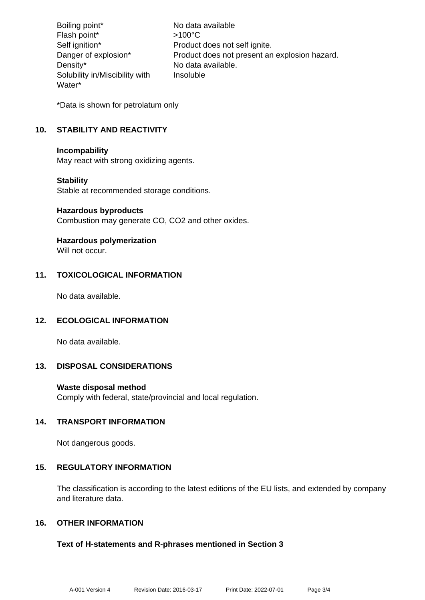Boiling point\* No data available Flash point\* >100°C Self ignition\* Product does not self ignite. Danger of explosion\* Product does not present an explosion hazard. Density\* No data available. Solubility in/Miscibility with Water\* Insoluble

\*Data is shown for petrolatum only

## **10. STABILITY AND REACTIVITY**

#### **Incompability**

May react with strong oxidizing agents.

#### **Stability**

Stable at recommended storage conditions.

#### **Hazardous byproducts**

Combustion may generate CO, CO2 and other oxides.

# **Hazardous polymerization**

Will not occur.

#### **11. TOXICOLOGICAL INFORMATION**

No data available.

#### **12. ECOLOGICAL INFORMATION**

No data available.

#### **13. DISPOSAL CONSIDERATIONS**

#### **Waste disposal method**

Comply with federal, state/provincial and local regulation.

#### **14. TRANSPORT INFORMATION**

Not dangerous goods.

#### **15. REGULATORY INFORMATION**

The classification is according to the latest editions of the EU lists, and extended by company and literature data.

#### **16. OTHER INFORMATION**

#### **Text of H-statements and R-phrases mentioned in Section 3**